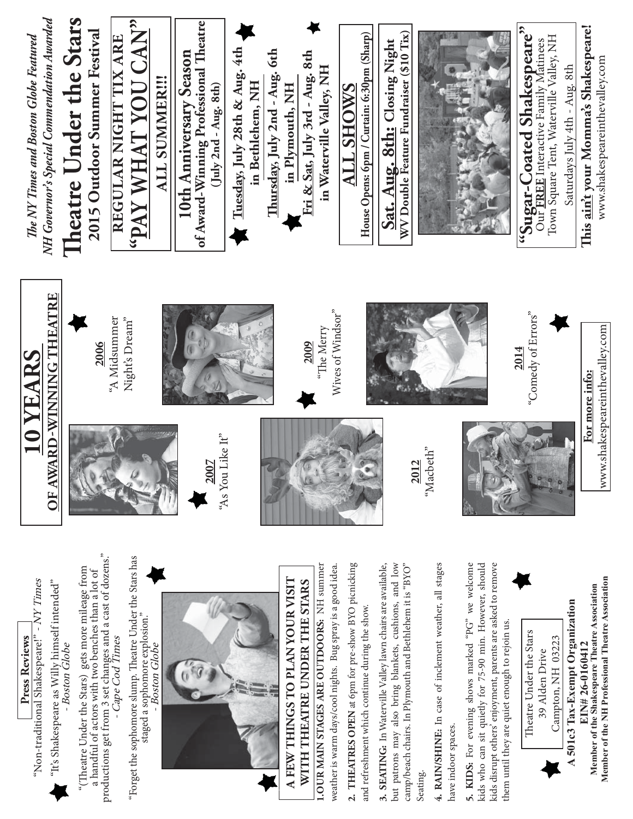

**Press Reviews**

Press Reviews

- Boston Globe

- Boston Globe

- Cape Cod Times

- Cape Cod Times

staged a sophomore explosion." - Boston Globe

Boston Globe

staged a sophomore explosion."

**3. SEATING:** In Waterville Valley lawn chairs are available, but patrons may also bring blankets, cushions, and low camp/beach chairs. In Plymouth and Bethlehem it is "BYO" **4. RAIN/SHINE:** In case of inclement weather, all stages 5. KIDS: For evening shows marked "PG" we welcome **5. KIDS:** For evening shows marked "PG" we welcome kids who can sit quietly for 75-90 min. However, should kids disrupt others' enjoyment, parents are asked to remove kids disrupt others' enjoyment, parents are asked to remove 3. SEATING: In Waterville Valley lawn chairs are available, but patrons may also bring blankets, cushions, and low camp/beach chairs. In Plymouth and Bethlehem it is "BYO" 4. RAIN/SHINE: In case of inclement weather, all stages kids who can sit quietly for 75-90 min. However, should them until they are quiet enough to rejoin us. them until they are quiet enough to rejoin us. nave indoor spaces. have indoor spaces. Seating.

and refreshment which continue during the show.

Theatre Under the Stars Theatre Under the Stars Campton, NH 03223 Campton, NH 03223 39 Alden Drive 39 Alden Drive

Member of the Shakespeare Theatre Association **Member of the Shakespeare Theatre Association**  A 501c3 Tax-Exempt Organization **A 501c3 Tax-Exempt Organization** EIN# 26-0160412 **EIN# 26-0160412**